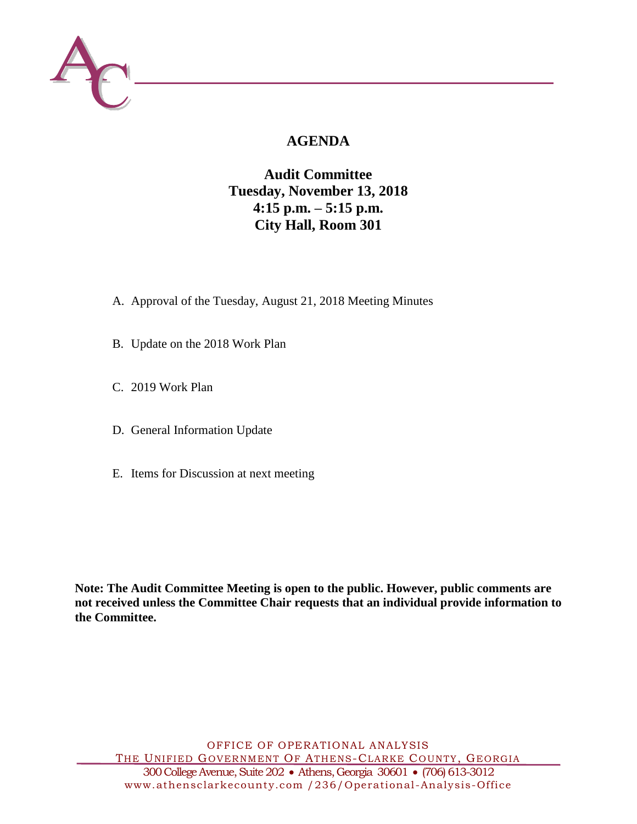

# **AGENDA**

## **Audit Committee Tuesday, November 13, 2018 4:15 p.m. – 5:15 p.m. City Hall, Room 301**

- A. Approval of the Tuesday, August 21, 2018 Meeting Minutes
- B. Update on the 2018 Work Plan
- C. 2019 Work Plan
- D. General Information Update
- E. Items for Discussion at next meeting

**Note: The Audit Committee Meeting is open to the public. However, public comments are not received unless the Committee Chair requests that an individual provide information to the Committee.**